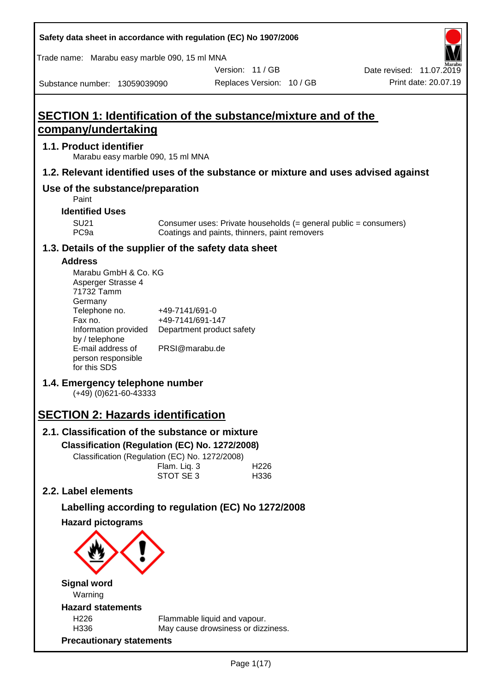| Safety data sheet in accordance with regulation (EC) No 1907/2006                  |                                    |                                               |                           |                                                                  |
|------------------------------------------------------------------------------------|------------------------------------|-----------------------------------------------|---------------------------|------------------------------------------------------------------|
| Trade name: Marabu easy marble 090, 15 ml MNA                                      |                                    |                                               |                           |                                                                  |
|                                                                                    |                                    |                                               | Version: 11 / GB          | Date revised: 11.07.2019                                         |
| Substance number: 13059039090                                                      |                                    |                                               | Replaces Version: 10 / GB | Print date: 20.07.19                                             |
|                                                                                    |                                    |                                               |                           |                                                                  |
| <b>SECTION 1: Identification of the substance/mixture and of the</b>               |                                    |                                               |                           |                                                                  |
| company/undertaking                                                                |                                    |                                               |                           |                                                                  |
| 1.1. Product identifier<br>Marabu easy marble 090, 15 ml MNA                       |                                    |                                               |                           |                                                                  |
| 1.2. Relevant identified uses of the substance or mixture and uses advised against |                                    |                                               |                           |                                                                  |
| Use of the substance/preparation<br>Paint                                          |                                    |                                               |                           |                                                                  |
| <b>Identified Uses</b>                                                             |                                    |                                               |                           |                                                                  |
| <b>SU21</b><br>PC <sub>9a</sub>                                                    |                                    | Coatings and paints, thinners, paint removers |                           | Consumer uses: Private households (= general public = consumers) |
| 1.3. Details of the supplier of the safety data sheet                              |                                    |                                               |                           |                                                                  |
| <b>Address</b>                                                                     |                                    |                                               |                           |                                                                  |
| Marabu GmbH & Co. KG                                                               |                                    |                                               |                           |                                                                  |
| Asperger Strasse 4<br>71732 Tamm                                                   |                                    |                                               |                           |                                                                  |
| Germany                                                                            |                                    |                                               |                           |                                                                  |
| Telephone no.<br>Fax no.                                                           | +49-7141/691-0<br>+49-7141/691-147 |                                               |                           |                                                                  |
| Information provided                                                               |                                    | Department product safety                     |                           |                                                                  |
| by / telephone                                                                     |                                    |                                               |                           |                                                                  |
| E-mail address of                                                                  | PRSI@marabu.de                     |                                               |                           |                                                                  |
| person responsible<br>for this SDS                                                 |                                    |                                               |                           |                                                                  |
| 1.4. Emergency telephone number                                                    |                                    |                                               |                           |                                                                  |
| $(+49)$ (0)621-60-43333                                                            |                                    |                                               |                           |                                                                  |
| <b>SECTION 2: Hazards identification</b>                                           |                                    |                                               |                           |                                                                  |
| 2.1. Classification of the substance or mixture                                    |                                    |                                               |                           |                                                                  |
| Classification (Regulation (EC) No. 1272/2008)                                     |                                    |                                               |                           |                                                                  |
| Classification (Regulation (EC) No. 1272/2008)                                     |                                    |                                               |                           |                                                                  |
|                                                                                    | Flam. Liq. 3                       |                                               | H <sub>226</sub>          |                                                                  |
|                                                                                    | STOT SE 3                          |                                               | H336                      |                                                                  |
| 2.2. Label elements                                                                |                                    |                                               |                           |                                                                  |
| Labelling according to regulation (EC) No 1272/2008                                |                                    |                                               |                           |                                                                  |
| <b>Hazard pictograms</b>                                                           |                                    |                                               |                           |                                                                  |
|                                                                                    |                                    |                                               |                           |                                                                  |
|                                                                                    |                                    |                                               |                           |                                                                  |
| <b>Signal word</b><br>Warning                                                      |                                    |                                               |                           |                                                                  |
| <b>Hazard statements</b>                                                           |                                    |                                               |                           |                                                                  |
| H226                                                                               |                                    | Flammable liquid and vapour.                  |                           |                                                                  |
| H336                                                                               |                                    | May cause drowsiness or dizziness.            |                           |                                                                  |
| <b>Precautionary statements</b>                                                    |                                    |                                               |                           |                                                                  |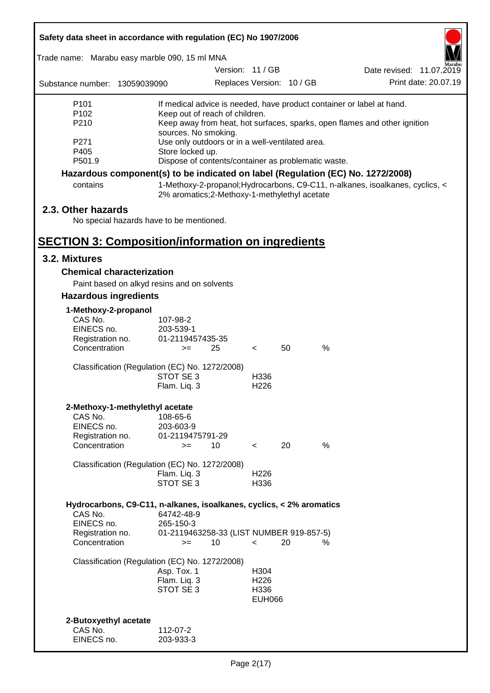| Safety data sheet in accordance with regulation (EC) No 1907/2006 |                                                                         |                          |                           |                                                                                 |                      |
|-------------------------------------------------------------------|-------------------------------------------------------------------------|--------------------------|---------------------------|---------------------------------------------------------------------------------|----------------------|
| Trade name: Marabu easy marble 090, 15 ml MNA                     |                                                                         |                          |                           |                                                                                 |                      |
|                                                                   |                                                                         | Version: 11 / GB         |                           | Date revised: 11.07.2019                                                        |                      |
| Substance number: 13059039090                                     |                                                                         |                          | Replaces Version: 10 / GB |                                                                                 | Print date: 20.07.19 |
| P <sub>101</sub>                                                  |                                                                         |                          |                           | If medical advice is needed, have product container or label at hand.           |                      |
| P <sub>102</sub>                                                  | Keep out of reach of children.                                          |                          |                           |                                                                                 |                      |
| P210                                                              |                                                                         |                          |                           | Keep away from heat, hot surfaces, sparks, open flames and other ignition       |                      |
| P271                                                              | sources. No smoking.<br>Use only outdoors or in a well-ventilated area. |                          |                           |                                                                                 |                      |
| P405                                                              | Store locked up.                                                        |                          |                           |                                                                                 |                      |
| P501.9                                                            | Dispose of contents/container as problematic waste.                     |                          |                           |                                                                                 |                      |
|                                                                   |                                                                         |                          |                           | Hazardous component(s) to be indicated on label (Regulation (EC) No. 1272/2008) |                      |
| contains                                                          | 2% aromatics; 2-Methoxy-1-methylethyl acetate                           |                          |                           | 1-Methoxy-2-propanol; Hydrocarbons, C9-C11, n-alkanes, isoalkanes, cyclics, <   |                      |
| 2.3. Other hazards                                                |                                                                         |                          |                           |                                                                                 |                      |
| No special hazards have to be mentioned.                          |                                                                         |                          |                           |                                                                                 |                      |
|                                                                   |                                                                         |                          |                           |                                                                                 |                      |
| <b>SECTION 3: Composition/information on ingredients</b>          |                                                                         |                          |                           |                                                                                 |                      |
| 3.2. Mixtures                                                     |                                                                         |                          |                           |                                                                                 |                      |
| <b>Chemical characterization</b>                                  |                                                                         |                          |                           |                                                                                 |                      |
|                                                                   | Paint based on alkyd resins and on solvents                             |                          |                           |                                                                                 |                      |
| <b>Hazardous ingredients</b>                                      |                                                                         |                          |                           |                                                                                 |                      |
| 1-Methoxy-2-propanol                                              |                                                                         |                          |                           |                                                                                 |                      |
| CAS No.                                                           | 107-98-2                                                                |                          |                           |                                                                                 |                      |
| EINECS no.                                                        | 203-539-1                                                               |                          |                           |                                                                                 |                      |
| Registration no.<br>Concentration                                 | 01-2119457435-35<br>25<br>$>=$                                          | $\overline{\phantom{a}}$ | 50                        | $\%$                                                                            |                      |
|                                                                   |                                                                         |                          |                           |                                                                                 |                      |
|                                                                   | Classification (Regulation (EC) No. 1272/2008)                          |                          |                           |                                                                                 |                      |
|                                                                   | STOT SE 3                                                               | H336                     |                           |                                                                                 |                      |
|                                                                   | Flam. Liq. 3                                                            | H <sub>226</sub>         |                           |                                                                                 |                      |
| 2-Methoxy-1-methylethyl acetate                                   |                                                                         |                          |                           |                                                                                 |                      |
| CAS No.                                                           | 108-65-6                                                                |                          |                           |                                                                                 |                      |
| EINECS no.                                                        | 203-603-9                                                               |                          |                           |                                                                                 |                      |
| Registration no.<br>Concentration                                 | 01-2119475791-29                                                        |                          | 20                        | %                                                                               |                      |
|                                                                   | 10<br>$>=$                                                              | $\overline{\phantom{a}}$ |                           |                                                                                 |                      |
|                                                                   | Classification (Regulation (EC) No. 1272/2008)                          |                          |                           |                                                                                 |                      |
|                                                                   | Flam. Liq. 3                                                            | H <sub>226</sub>         |                           |                                                                                 |                      |
|                                                                   | STOT SE 3                                                               | H336                     |                           |                                                                                 |                      |
|                                                                   | Hydrocarbons, C9-C11, n-alkanes, isoalkanes, cyclics, < 2% aromatics    |                          |                           |                                                                                 |                      |
| CAS No.                                                           | 64742-48-9                                                              |                          |                           |                                                                                 |                      |
| EINECS no.                                                        | 265-150-3                                                               |                          |                           |                                                                                 |                      |
| Registration no.                                                  | 01-2119463258-33 (LIST NUMBER 919-857-5)                                |                          |                           |                                                                                 |                      |
| Concentration                                                     | 10<br>$>=$                                                              | $\,<\,$                  | 20                        | %                                                                               |                      |
|                                                                   | Classification (Regulation (EC) No. 1272/2008)                          |                          |                           |                                                                                 |                      |
|                                                                   | Asp. Tox. 1                                                             | H304                     |                           |                                                                                 |                      |
|                                                                   | Flam. Liq. 3                                                            | H <sub>226</sub>         |                           |                                                                                 |                      |
|                                                                   | STOT SE 3                                                               | H336                     |                           |                                                                                 |                      |
|                                                                   |                                                                         | <b>EUH066</b>            |                           |                                                                                 |                      |
| 2-Butoxyethyl acetate                                             |                                                                         |                          |                           |                                                                                 |                      |
| CAS No.                                                           | 112-07-2                                                                |                          |                           |                                                                                 |                      |
| EINECS no.                                                        | 203-933-3                                                               |                          |                           |                                                                                 |                      |
|                                                                   |                                                                         |                          |                           |                                                                                 |                      |

ī

Г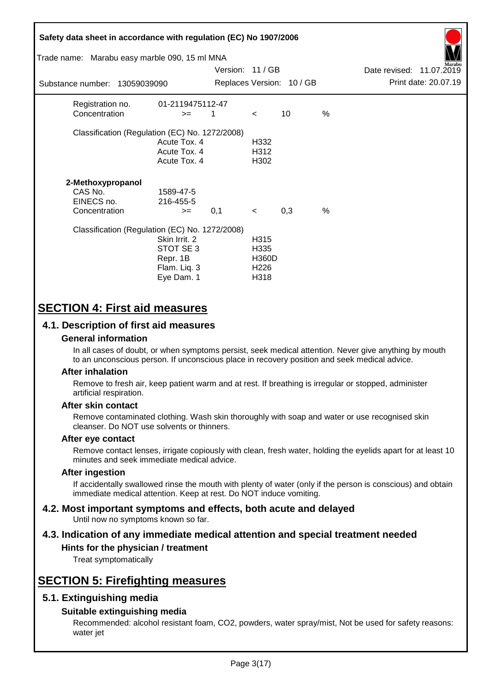| Safety data sheet in accordance with regulation (EC) No 1907/2006<br>Trade name: Marabu easy marble 090, 15 ml MNA |                                                                      | Version: 11 / GB |                                                                       |                           |      | Date revised: 11.07.2019 | larabu               |
|--------------------------------------------------------------------------------------------------------------------|----------------------------------------------------------------------|------------------|-----------------------------------------------------------------------|---------------------------|------|--------------------------|----------------------|
| Substance number: 13059039090                                                                                      |                                                                      |                  |                                                                       | Replaces Version: 10 / GB |      |                          | Print date: 20.07.19 |
| Registration no.<br>Concentration                                                                                  | 01-2119475112-47<br>$>=$                                             | 1                | $\lt$                                                                 | 10                        | %    |                          |                      |
| Classification (Regulation (EC) No. 1272/2008)                                                                     | Acute Tox. 4<br>Acute Tox. 4<br>Acute Tox. 4                         |                  | H332<br>H312<br>H302                                                  |                           |      |                          |                      |
| 2-Methoxypropanol<br>CAS No.<br>EINECS no.<br>Concentration                                                        | 1589-47-5<br>216-455-5<br>$>=$                                       | 0,1              | $\prec$                                                               | 0,3                       | $\%$ |                          |                      |
| Classification (Regulation (EC) No. 1272/2008)                                                                     | Skin Irrit. 2<br>STOT SE 3<br>Repr. 1B<br>Flam. Liq. 3<br>Eye Dam. 1 |                  | H <sub>3</sub> 15<br>H335<br><b>H360D</b><br>H <sub>226</sub><br>H318 |                           |      |                          |                      |

# **SECTION 4: First aid measures**

## **4.1. Description of first aid measures**

### **General information**

In all cases of doubt, or when symptoms persist, seek medical attention. Never give anything by mouth to an unconscious person. If unconscious place in recovery position and seek medical advice.

### **After inhalation**

Remove to fresh air, keep patient warm and at rest. If breathing is irregular or stopped, administer artificial respiration.

### **After skin contact**

Remove contaminated clothing. Wash skin thoroughly with soap and water or use recognised skin cleanser. Do NOT use solvents or thinners.

### **After eye contact**

Remove contact lenses, irrigate copiously with clean, fresh water, holding the eyelids apart for at least 10 minutes and seek immediate medical advice.

### **After ingestion**

If accidentally swallowed rinse the mouth with plenty of water (only if the person is conscious) and obtain immediate medical attention. Keep at rest. Do NOT induce vomiting.

#### **4.2. Most important symptoms and effects, both acute and delayed** Until now no symptoms known so far.

# **4.3. Indication of any immediate medical attention and special treatment needed**

## **Hints for the physician / treatment**

Treat symptomatically

# **SECTION 5: Firefighting measures**

## **5.1. Extinguishing media**

### **Suitable extinguishing media**

Recommended: alcohol resistant foam, CO2, powders, water spray/mist, Not be used for safety reasons: water jet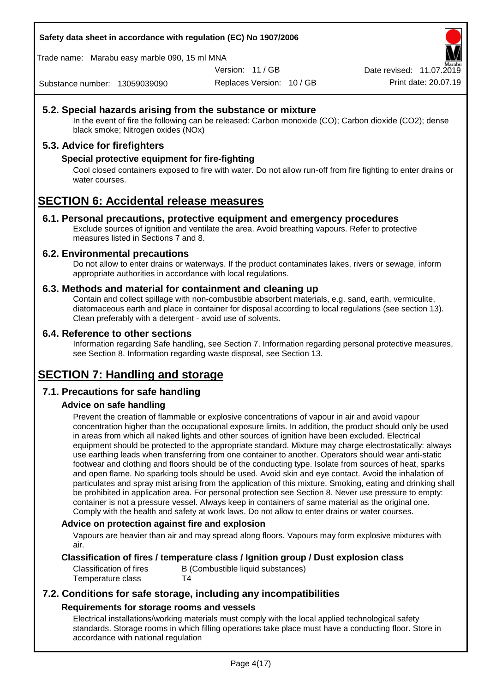**Safety data sheet in accordance with regulation (EC) No 1907/2006**

Trade name: Marabu easy marble 090, 15 ml MNA

Version: 11 / GB

Replaces Version: 10 / GB Print date: 20.07.19 Date revised: 11.07.2019

Substance number: 13059039090

## **5.2. Special hazards arising from the substance or mixture**

In the event of fire the following can be released: Carbon monoxide (CO); Carbon dioxide (CO2); dense black smoke; Nitrogen oxides (NOx)

## **5.3. Advice for firefighters**

### **Special protective equipment for fire-fighting**

Cool closed containers exposed to fire with water. Do not allow run-off from fire fighting to enter drains or water courses.

# **SECTION 6: Accidental release measures**

### **6.1. Personal precautions, protective equipment and emergency procedures**

Exclude sources of ignition and ventilate the area. Avoid breathing vapours. Refer to protective measures listed in Sections 7 and 8.

### **6.2. Environmental precautions**

Do not allow to enter drains or waterways. If the product contaminates lakes, rivers or sewage, inform appropriate authorities in accordance with local regulations.

### **6.3. Methods and material for containment and cleaning up**

Contain and collect spillage with non-combustible absorbent materials, e.g. sand, earth, vermiculite, diatomaceous earth and place in container for disposal according to local regulations (see section 13). Clean preferably with a detergent - avoid use of solvents.

### **6.4. Reference to other sections**

Information regarding Safe handling, see Section 7. Information regarding personal protective measures, see Section 8. Information regarding waste disposal, see Section 13.

# **SECTION 7: Handling and storage**

## **7.1. Precautions for safe handling**

## **Advice on safe handling**

Prevent the creation of flammable or explosive concentrations of vapour in air and avoid vapour concentration higher than the occupational exposure limits. In addition, the product should only be used in areas from which all naked lights and other sources of ignition have been excluded. Electrical equipment should be protected to the appropriate standard. Mixture may charge electrostatically: always use earthing leads when transferring from one container to another. Operators should wear anti-static footwear and clothing and floors should be of the conducting type. Isolate from sources of heat, sparks and open flame. No sparking tools should be used. Avoid skin and eye contact. Avoid the inhalation of particulates and spray mist arising from the application of this mixture. Smoking, eating and drinking shall be prohibited in application area. For personal protection see Section 8. Never use pressure to empty: container is not a pressure vessel. Always keep in containers of same material as the original one. Comply with the health and safety at work laws. Do not allow to enter drains or water courses.

### **Advice on protection against fire and explosion**

Vapours are heavier than air and may spread along floors. Vapours may form explosive mixtures with air.

## **Classification of fires / temperature class / Ignition group / Dust explosion class**

Classification of fires B (Combustible liquid substances) Temperature class T4

## **7.2. Conditions for safe storage, including any incompatibilities Requirements for storage rooms and vessels**

Electrical installations/working materials must comply with the local applied technological safety standards. Storage rooms in which filling operations take place must have a conducting floor. Store in accordance with national regulation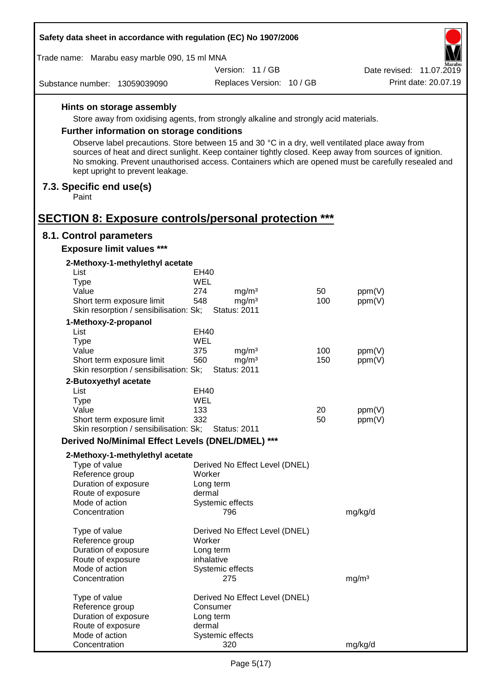| Safety data sheet in accordance with regulation (EC) No 1907/2006   |                                                                                                                                                                                                            |     |                                                                                                     |
|---------------------------------------------------------------------|------------------------------------------------------------------------------------------------------------------------------------------------------------------------------------------------------------|-----|-----------------------------------------------------------------------------------------------------|
| Trade name: Marabu easy marble 090, 15 ml MNA                       |                                                                                                                                                                                                            |     |                                                                                                     |
|                                                                     | Version: 11/GB                                                                                                                                                                                             |     | farabu<br>Date revised: 11.07.2019                                                                  |
| Substance number: 13059039090                                       | Replaces Version: 10 / GB                                                                                                                                                                                  |     | Print date: 20.07.19                                                                                |
| Hints on storage assembly                                           |                                                                                                                                                                                                            |     |                                                                                                     |
|                                                                     | Store away from oxidising agents, from strongly alkaline and strongly acid materials.                                                                                                                      |     |                                                                                                     |
| <b>Further information on storage conditions</b>                    |                                                                                                                                                                                                            |     |                                                                                                     |
|                                                                     |                                                                                                                                                                                                            |     |                                                                                                     |
| kept upright to prevent leakage.                                    | Observe label precautions. Store between 15 and 30 °C in a dry, well ventilated place away from<br>sources of heat and direct sunlight. Keep container tightly closed. Keep away from sources of ignition. |     | No smoking. Prevent unauthorised access. Containers which are opened must be carefully resealed and |
| 7.3. Specific end use(s)<br>Paint                                   |                                                                                                                                                                                                            |     |                                                                                                     |
| <b>SECTION 8: Exposure controls/personal protection ***</b>         |                                                                                                                                                                                                            |     |                                                                                                     |
| 8.1. Control parameters                                             |                                                                                                                                                                                                            |     |                                                                                                     |
| <b>Exposure limit values ***</b>                                    |                                                                                                                                                                                                            |     |                                                                                                     |
| 2-Methoxy-1-methylethyl acetate                                     |                                                                                                                                                                                                            |     |                                                                                                     |
| List<br><b>Type</b>                                                 | EH40<br><b>WEL</b>                                                                                                                                                                                         |     |                                                                                                     |
| Value                                                               | 274<br>mg/m <sup>3</sup>                                                                                                                                                                                   | 50  | ppm(V)                                                                                              |
| Short term exposure limit                                           | 548<br>mg/m <sup>3</sup>                                                                                                                                                                                   | 100 | ppm(V)                                                                                              |
| Skin resorption / sensibilisation: Sk;                              | <b>Status: 2011</b>                                                                                                                                                                                        |     |                                                                                                     |
| 1-Methoxy-2-propanol                                                |                                                                                                                                                                                                            |     |                                                                                                     |
| List                                                                | <b>EH40</b>                                                                                                                                                                                                |     |                                                                                                     |
| <b>Type</b>                                                         | WEL                                                                                                                                                                                                        |     |                                                                                                     |
| Value                                                               | 375<br>mg/m <sup>3</sup>                                                                                                                                                                                   | 100 | ppm(V)                                                                                              |
| Short term exposure limit<br>Skin resorption / sensibilisation: Sk; | 560<br>mg/m <sup>3</sup><br><b>Status: 2011</b>                                                                                                                                                            | 150 | ppm(V)                                                                                              |
| 2-Butoxyethyl acetate                                               |                                                                                                                                                                                                            |     |                                                                                                     |
| List                                                                | EH40                                                                                                                                                                                                       |     |                                                                                                     |
| Type                                                                | WEL                                                                                                                                                                                                        |     |                                                                                                     |
| Value                                                               | 133                                                                                                                                                                                                        | 20  | ppm(V)                                                                                              |
| Short term exposure limit                                           | 332                                                                                                                                                                                                        | 50  | ppm(V)                                                                                              |
| Skin resorption / sensibilisation: Sk;                              | <b>Status: 2011</b>                                                                                                                                                                                        |     |                                                                                                     |
| Derived No/Minimal Effect Levels (DNEL/DMEL) ***                    |                                                                                                                                                                                                            |     |                                                                                                     |
| 2-Methoxy-1-methylethyl acetate                                     |                                                                                                                                                                                                            |     |                                                                                                     |
| Type of value                                                       | Derived No Effect Level (DNEL)                                                                                                                                                                             |     |                                                                                                     |
| Reference group                                                     | Worker                                                                                                                                                                                                     |     |                                                                                                     |
| Duration of exposure                                                | Long term                                                                                                                                                                                                  |     |                                                                                                     |
| Route of exposure                                                   | dermal                                                                                                                                                                                                     |     |                                                                                                     |
| Mode of action<br>Concentration                                     | Systemic effects<br>796                                                                                                                                                                                    |     | mg/kg/d                                                                                             |
| Type of value                                                       | Derived No Effect Level (DNEL)                                                                                                                                                                             |     |                                                                                                     |
| Reference group                                                     | Worker                                                                                                                                                                                                     |     |                                                                                                     |
| Duration of exposure                                                | Long term                                                                                                                                                                                                  |     |                                                                                                     |
| Route of exposure                                                   | inhalative                                                                                                                                                                                                 |     |                                                                                                     |
| Mode of action<br>Concentration                                     | Systemic effects                                                                                                                                                                                           |     |                                                                                                     |
|                                                                     | 275                                                                                                                                                                                                        |     | mg/m <sup>3</sup>                                                                                   |
| Type of value                                                       | Derived No Effect Level (DNEL)                                                                                                                                                                             |     |                                                                                                     |
| Reference group                                                     | Consumer                                                                                                                                                                                                   |     |                                                                                                     |
| Duration of exposure                                                | Long term                                                                                                                                                                                                  |     |                                                                                                     |
| Route of exposure<br>Mode of action                                 | dermal<br>Systemic effects                                                                                                                                                                                 |     |                                                                                                     |
| Concentration                                                       | 320                                                                                                                                                                                                        |     | mg/kg/d                                                                                             |

 $\Gamma$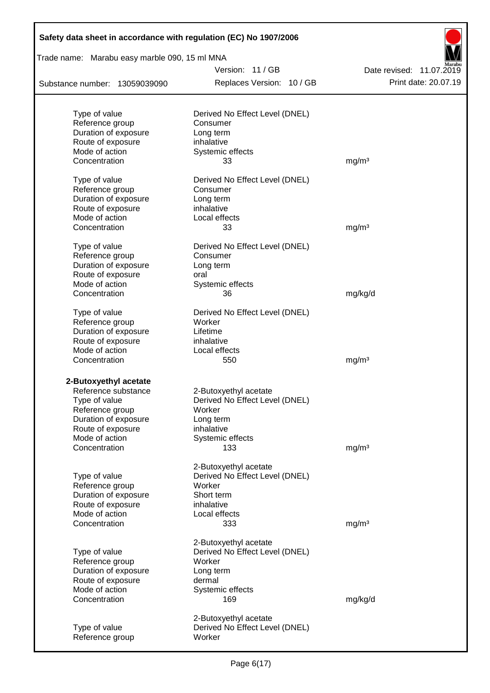| Safety data sheet in accordance with regulation (EC) No 1907/2006 |                                             |                                                  |
|-------------------------------------------------------------------|---------------------------------------------|--------------------------------------------------|
| Trade name: Marabu easy marble 090, 15 ml MNA                     |                                             |                                                  |
| Substance number: 13059039090                                     | Version: 11/GB<br>Replaces Version: 10 / GB | Date revised: 11.07.2019<br>Print date: 20.07.19 |
|                                                                   |                                             |                                                  |
| Type of value                                                     | Derived No Effect Level (DNEL)              |                                                  |
| Reference group                                                   | Consumer                                    |                                                  |
| Duration of exposure                                              | Long term                                   |                                                  |
| Route of exposure                                                 | inhalative                                  |                                                  |
| Mode of action                                                    | Systemic effects                            |                                                  |
| Concentration                                                     | 33                                          | mg/m <sup>3</sup>                                |
| Type of value                                                     | Derived No Effect Level (DNEL)              |                                                  |
| Reference group                                                   | Consumer                                    |                                                  |
| Duration of exposure                                              | Long term                                   |                                                  |
| Route of exposure                                                 | inhalative                                  |                                                  |
| Mode of action                                                    | Local effects                               |                                                  |
| Concentration                                                     | 33                                          | mg/m <sup>3</sup>                                |
|                                                                   |                                             |                                                  |
| Type of value                                                     | Derived No Effect Level (DNEL)              |                                                  |
| Reference group                                                   | Consumer                                    |                                                  |
| Duration of exposure                                              | Long term                                   |                                                  |
| Route of exposure                                                 | oral                                        |                                                  |
| Mode of action                                                    | Systemic effects                            |                                                  |
| Concentration                                                     | 36                                          | mg/kg/d                                          |
| Type of value                                                     | Derived No Effect Level (DNEL)              |                                                  |
| Reference group                                                   | Worker                                      |                                                  |
| Duration of exposure                                              | Lifetime                                    |                                                  |
| Route of exposure                                                 | inhalative                                  |                                                  |
| Mode of action                                                    | Local effects                               |                                                  |
| Concentration                                                     | 550                                         | mg/m <sup>3</sup>                                |
|                                                                   |                                             |                                                  |
| 2-Butoxyethyl acetate                                             |                                             |                                                  |
| Reference substance                                               | 2-Butoxyethyl acetate                       |                                                  |
| Type of value                                                     | Derived No Effect Level (DNEL)              |                                                  |
| Reference group                                                   | Worker                                      |                                                  |
| Duration of exposure<br>Route of exposure                         | Long term                                   |                                                  |
| Mode of action                                                    | inhalative                                  |                                                  |
| Concentration                                                     | Systemic effects<br>133                     | mg/m <sup>3</sup>                                |
|                                                                   |                                             |                                                  |
|                                                                   | 2-Butoxyethyl acetate                       |                                                  |
| Type of value                                                     | Derived No Effect Level (DNEL)              |                                                  |
| Reference group                                                   | Worker                                      |                                                  |
| Duration of exposure                                              | Short term                                  |                                                  |
| Route of exposure                                                 | inhalative                                  |                                                  |
| Mode of action                                                    | Local effects                               |                                                  |
| Concentration                                                     | 333                                         | mg/m <sup>3</sup>                                |
|                                                                   | 2-Butoxyethyl acetate                       |                                                  |
| Type of value                                                     | Derived No Effect Level (DNEL)              |                                                  |
| Reference group                                                   | Worker                                      |                                                  |
| Duration of exposure                                              | Long term                                   |                                                  |
| Route of exposure                                                 | dermal                                      |                                                  |
| Mode of action                                                    | Systemic effects                            |                                                  |
| Concentration                                                     | 169                                         | mg/kg/d                                          |
|                                                                   |                                             |                                                  |
|                                                                   | 2-Butoxyethyl acetate                       |                                                  |
| Type of value                                                     | Derived No Effect Level (DNEL)              |                                                  |
| Reference group                                                   | Worker                                      |                                                  |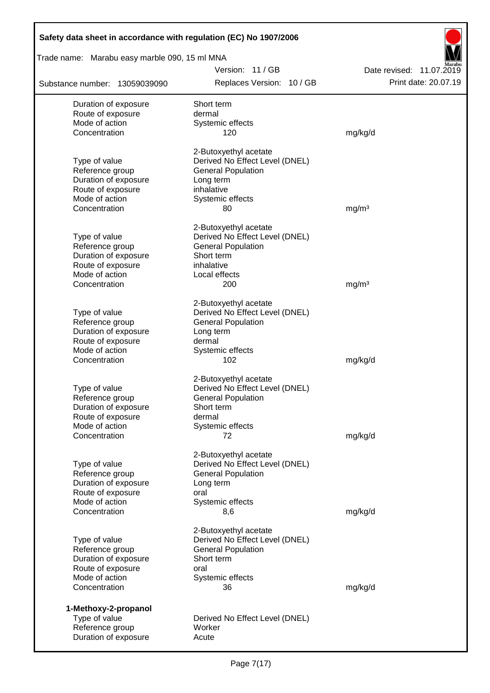| Safety data sheet in accordance with regulation (EC) No 1907/2006 |                                                             |                          |
|-------------------------------------------------------------------|-------------------------------------------------------------|--------------------------|
| Trade name: Marabu easy marble 090, 15 ml MNA                     |                                                             |                          |
|                                                                   | Version: 11/GB                                              | Date revised: 11.07.2019 |
| Substance number: 13059039090                                     | Replaces Version: 10 / GB                                   | Print date: 20.07.19     |
| Duration of exposure                                              | Short term                                                  |                          |
| Route of exposure                                                 | dermal                                                      |                          |
| Mode of action<br>Concentration                                   | Systemic effects<br>120                                     | mg/kg/d                  |
|                                                                   |                                                             |                          |
|                                                                   | 2-Butoxyethyl acetate                                       |                          |
| Type of value<br>Reference group                                  | Derived No Effect Level (DNEL)<br><b>General Population</b> |                          |
| Duration of exposure                                              | Long term                                                   |                          |
| Route of exposure                                                 | inhalative                                                  |                          |
| Mode of action                                                    | Systemic effects                                            |                          |
| Concentration                                                     | 80                                                          | mg/m <sup>3</sup>        |
|                                                                   | 2-Butoxyethyl acetate                                       |                          |
| Type of value                                                     | Derived No Effect Level (DNEL)                              |                          |
| Reference group                                                   | <b>General Population</b>                                   |                          |
| Duration of exposure<br>Route of exposure                         | Short term<br>inhalative                                    |                          |
| Mode of action                                                    | Local effects                                               |                          |
| Concentration                                                     | 200                                                         | mg/m <sup>3</sup>        |
|                                                                   |                                                             |                          |
|                                                                   | 2-Butoxyethyl acetate                                       |                          |
| Type of value<br>Reference group                                  | Derived No Effect Level (DNEL)<br><b>General Population</b> |                          |
| Duration of exposure                                              | Long term                                                   |                          |
| Route of exposure                                                 | dermal                                                      |                          |
| Mode of action                                                    | Systemic effects                                            |                          |
| Concentration                                                     | 102                                                         | mg/kg/d                  |
|                                                                   | 2-Butoxyethyl acetate                                       |                          |
| Type of value                                                     | Derived No Effect Level (DNEL)                              |                          |
| Reference group                                                   | <b>General Population</b>                                   |                          |
| Duration of exposure<br>Route of exposure                         | Short term<br>dermal                                        |                          |
| Mode of action                                                    | Systemic effects                                            |                          |
| Concentration                                                     | 72                                                          | mg/kg/d                  |
|                                                                   |                                                             |                          |
|                                                                   | 2-Butoxyethyl acetate                                       |                          |
| Type of value<br>Reference group                                  | Derived No Effect Level (DNEL)<br><b>General Population</b> |                          |
| Duration of exposure                                              | Long term                                                   |                          |
| Route of exposure                                                 | oral                                                        |                          |
| Mode of action                                                    | Systemic effects                                            |                          |
| Concentration                                                     | 8,6                                                         | mg/kg/d                  |
|                                                                   | 2-Butoxyethyl acetate                                       |                          |
| Type of value                                                     | Derived No Effect Level (DNEL)                              |                          |
| Reference group                                                   | <b>General Population</b>                                   |                          |
| Duration of exposure                                              | Short term                                                  |                          |
| Route of exposure<br>Mode of action                               | oral<br>Systemic effects                                    |                          |
| Concentration                                                     | 36                                                          | mg/kg/d                  |
| 1-Methoxy-2-propanol                                              |                                                             |                          |
| Type of value                                                     | Derived No Effect Level (DNEL)                              |                          |
| Reference group                                                   | Worker                                                      |                          |
| Duration of exposure                                              | Acute                                                       |                          |
|                                                                   |                                                             |                          |

Г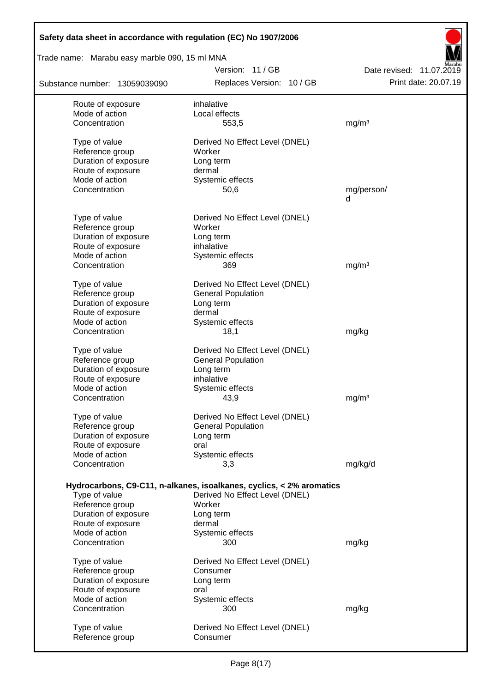| Safety data sheet in accordance with regulation (EC) No 1907/2006 |                                                                      |                          |
|-------------------------------------------------------------------|----------------------------------------------------------------------|--------------------------|
| Trade name: Marabu easy marble 090, 15 ml MNA                     |                                                                      |                          |
|                                                                   | Version: 11 / GB                                                     | Date revised: 11.07.2019 |
| Substance number: 13059039090                                     | Replaces Version: 10 / GB                                            | Print date: 20.07.19     |
| Route of exposure                                                 | inhalative                                                           |                          |
| Mode of action                                                    | Local effects                                                        |                          |
| Concentration                                                     | 553,5                                                                | mg/m <sup>3</sup>        |
| Type of value                                                     | Derived No Effect Level (DNEL)                                       |                          |
| Reference group                                                   | Worker                                                               |                          |
| Duration of exposure                                              | Long term                                                            |                          |
| Route of exposure                                                 | dermal                                                               |                          |
| Mode of action<br>Concentration                                   | Systemic effects<br>50,6                                             | mg/person/               |
|                                                                   |                                                                      | d                        |
|                                                                   |                                                                      |                          |
| Type of value<br>Reference group                                  | Derived No Effect Level (DNEL)<br>Worker                             |                          |
| Duration of exposure                                              | Long term                                                            |                          |
| Route of exposure                                                 | inhalative                                                           |                          |
| Mode of action                                                    | Systemic effects                                                     |                          |
| Concentration                                                     | 369                                                                  | mg/m <sup>3</sup>        |
| Type of value                                                     | Derived No Effect Level (DNEL)                                       |                          |
| Reference group                                                   | <b>General Population</b>                                            |                          |
| Duration of exposure                                              | Long term                                                            |                          |
| Route of exposure                                                 | dermal                                                               |                          |
| Mode of action                                                    | Systemic effects                                                     |                          |
| Concentration                                                     | 18,1                                                                 | mg/kg                    |
| Type of value                                                     | Derived No Effect Level (DNEL)                                       |                          |
| Reference group                                                   | <b>General Population</b>                                            |                          |
| Duration of exposure                                              | Long term                                                            |                          |
| Route of exposure<br>Mode of action                               | inhalative<br>Systemic effects                                       |                          |
| Concentration                                                     | 43,9                                                                 | mg/m <sup>3</sup>        |
|                                                                   |                                                                      |                          |
| Type of value<br>Reference group                                  | Derived No Effect Level (DNEL)                                       |                          |
| Duration of exposure                                              | <b>General Population</b><br>Long term                               |                          |
| Route of exposure                                                 | oral                                                                 |                          |
| Mode of action                                                    | Systemic effects                                                     |                          |
| Concentration                                                     | 3,3                                                                  | mg/kg/d                  |
|                                                                   | Hydrocarbons, C9-C11, n-alkanes, isoalkanes, cyclics, < 2% aromatics |                          |
| Type of value                                                     | Derived No Effect Level (DNEL)                                       |                          |
| Reference group                                                   | Worker                                                               |                          |
| Duration of exposure                                              | Long term                                                            |                          |
| Route of exposure                                                 | dermal                                                               |                          |
| Mode of action<br>Concentration                                   | Systemic effects<br>300                                              | mg/kg                    |
|                                                                   |                                                                      |                          |
| Type of value                                                     | Derived No Effect Level (DNEL)                                       |                          |
| Reference group                                                   | Consumer                                                             |                          |
| Duration of exposure                                              | Long term                                                            |                          |
| Route of exposure<br>Mode of action                               | oral<br>Systemic effects                                             |                          |
| Concentration                                                     | 300                                                                  | mg/kg                    |
|                                                                   |                                                                      |                          |
| Type of value                                                     | Derived No Effect Level (DNEL)                                       |                          |
| Reference group                                                   | Consumer                                                             |                          |

 $\overline{\phantom{a}}$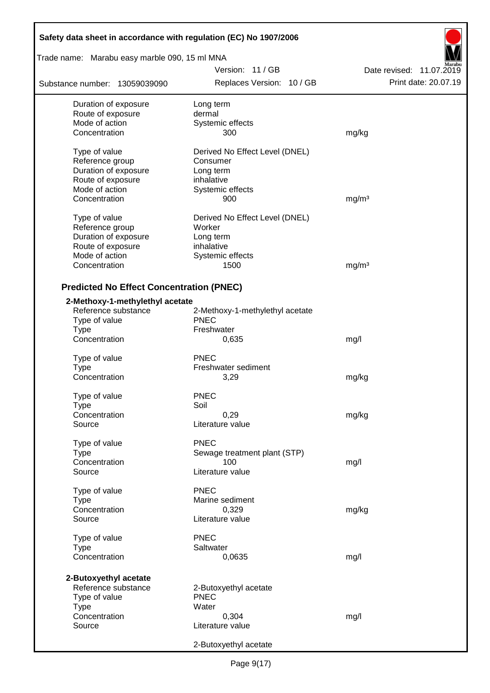| Safety data sheet in accordance with regulation (EC) No 1907/2006 |                                      |                          |
|-------------------------------------------------------------------|--------------------------------------|--------------------------|
| Trade name: Marabu easy marble 090, 15 ml MNA                     |                                      |                          |
|                                                                   | Version: 11/GB                       | Date revised: 11.07.2019 |
| Substance number: 13059039090                                     | Replaces Version: 10 / GB            | Print date: 20.07.19     |
| Duration of exposure                                              | Long term                            |                          |
| Route of exposure                                                 | dermal                               |                          |
| Mode of action                                                    | Systemic effects                     |                          |
| Concentration                                                     | 300                                  | mg/kg                    |
| Type of value                                                     | Derived No Effect Level (DNEL)       |                          |
| Reference group                                                   | Consumer                             |                          |
| Duration of exposure                                              | Long term                            |                          |
| Route of exposure                                                 | inhalative                           |                          |
| Mode of action                                                    | Systemic effects                     |                          |
| Concentration                                                     | 900                                  | mg/m <sup>3</sup>        |
| Type of value                                                     | Derived No Effect Level (DNEL)       |                          |
| Reference group                                                   | Worker                               |                          |
| Duration of exposure                                              | Long term                            |                          |
| Route of exposure                                                 | inhalative                           |                          |
| Mode of action                                                    | Systemic effects                     |                          |
| Concentration                                                     | 1500                                 | mg/m <sup>3</sup>        |
| <b>Predicted No Effect Concentration (PNEC)</b>                   |                                      |                          |
| 2-Methoxy-1-methylethyl acetate                                   |                                      |                          |
| Reference substance                                               | 2-Methoxy-1-methylethyl acetate      |                          |
| Type of value                                                     | <b>PNEC</b>                          |                          |
| <b>Type</b>                                                       | Freshwater                           |                          |
| Concentration                                                     | 0,635                                | mg/l                     |
| Type of value                                                     | <b>PNEC</b>                          |                          |
| <b>Type</b>                                                       | Freshwater sediment                  |                          |
| Concentration                                                     | 3,29                                 | mg/kg                    |
|                                                                   |                                      |                          |
| Type of value                                                     | <b>PNEC</b>                          |                          |
| Type                                                              | Soil                                 |                          |
| Concentration                                                     | 0,29                                 | mg/kg                    |
| Source                                                            | Literature value                     |                          |
| Type of value                                                     | <b>PNEC</b>                          |                          |
| <b>Type</b>                                                       | Sewage treatment plant (STP)         |                          |
| Concentration                                                     | 100                                  | mg/l                     |
| Source                                                            | Literature value                     |                          |
| Type of value                                                     | <b>PNEC</b>                          |                          |
| Type                                                              | Marine sediment                      |                          |
| Concentration                                                     | 0,329                                | mg/kg                    |
| Source                                                            | Literature value                     |                          |
| Type of value                                                     | <b>PNEC</b>                          |                          |
| <b>Type</b>                                                       | Saltwater                            |                          |
| Concentration                                                     | 0,0635                               | mg/l                     |
|                                                                   |                                      |                          |
| 2-Butoxyethyl acetate                                             |                                      |                          |
| Reference substance<br>Type of value                              | 2-Butoxyethyl acetate<br><b>PNEC</b> |                          |
| <b>Type</b>                                                       | Water                                |                          |
| Concentration                                                     | 0,304                                | mg/l                     |
| Source                                                            | Literature value                     |                          |
|                                                                   |                                      |                          |
|                                                                   | 2-Butoxyethyl acetate                |                          |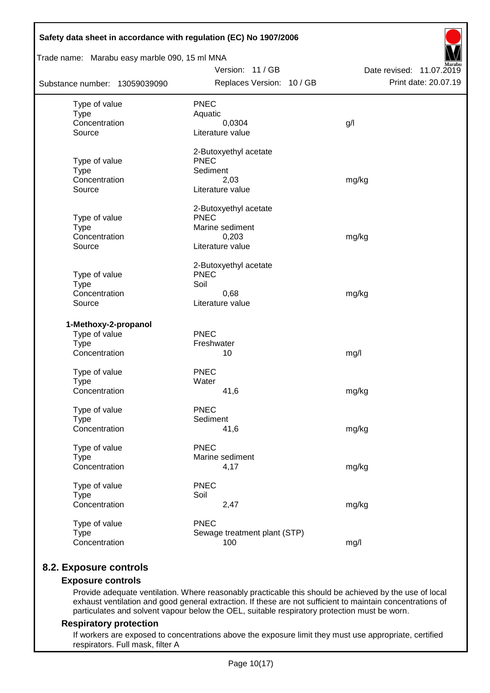| Trade name: Marabu easy marble 090, 15 ml MNA |                                      |                          |
|-----------------------------------------------|--------------------------------------|--------------------------|
|                                               | Version: 11 / GB                     | Date revised: 11.07.2019 |
| Substance number: 13059039090                 | Replaces Version: 10 / GB            | Print date: 20.07.19     |
| Type of value                                 | <b>PNEC</b>                          |                          |
| <b>Type</b>                                   | Aquatic                              |                          |
| Concentration                                 | 0,0304                               | g/l                      |
| Source                                        | Literature value                     |                          |
|                                               | 2-Butoxyethyl acetate                |                          |
| Type of value                                 | <b>PNEC</b>                          |                          |
| <b>Type</b>                                   | Sediment                             |                          |
| Concentration<br>Source                       | 2,03<br>Literature value             | mg/kg                    |
|                                               |                                      |                          |
|                                               | 2-Butoxyethyl acetate<br><b>PNEC</b> |                          |
| Type of value<br><b>Type</b>                  | Marine sediment                      |                          |
| Concentration                                 | 0,203                                | mg/kg                    |
| Source                                        | Literature value                     |                          |
|                                               | 2-Butoxyethyl acetate                |                          |
| Type of value                                 | <b>PNEC</b>                          |                          |
| <b>Type</b>                                   | Soil                                 |                          |
| Concentration                                 | 0,68                                 | mg/kg                    |
| Source                                        | Literature value                     |                          |
| 1-Methoxy-2-propanol                          |                                      |                          |
| Type of value                                 | PNEC                                 |                          |
| <b>Type</b>                                   | Freshwater                           |                          |
| Concentration                                 | 10                                   | mg/l                     |
| Type of value                                 | <b>PNEC</b>                          |                          |
| <b>Type</b>                                   | Water                                |                          |
| Concentration                                 | 41,6                                 | mg/kg                    |
| Type of value                                 | <b>PNEC</b>                          |                          |
| <b>Type</b>                                   | Sediment                             |                          |
| Concentration                                 | 41,6                                 | mg/kg                    |
| Type of value                                 | PNEC                                 |                          |
| <b>Type</b>                                   | Marine sediment                      |                          |
| Concentration                                 | 4,17                                 | mg/kg                    |
| Type of value                                 | <b>PNEC</b>                          |                          |
| <b>Type</b>                                   | Soil                                 |                          |
| Concentration                                 | 2,47                                 | mg/kg                    |
| Type of value                                 | <b>PNEC</b>                          |                          |
| <b>Type</b>                                   | Sewage treatment plant (STP)         |                          |
| Concentration                                 | 100                                  | mg/l                     |

## **8.2. Exposure controls**

### **Exposure controls**

Provide adequate ventilation. Where reasonably practicable this should be achieved by the use of local exhaust ventilation and good general extraction. If these are not sufficient to maintain concentrations of particulates and solvent vapour below the OEL, suitable respiratory protection must be worn.

### **Respiratory protection**

If workers are exposed to concentrations above the exposure limit they must use appropriate, certified respirators. Full mask, filter A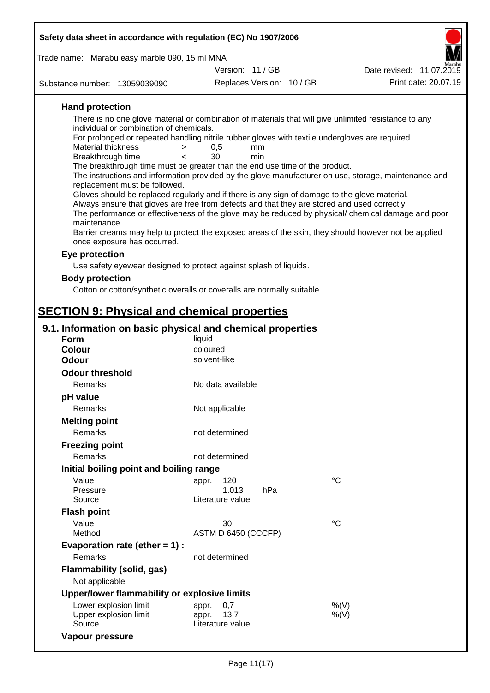| Safety data sheet in accordance with regulation (EC) No 1907/2006                                                                   |                                               |                           |                 |                          |
|-------------------------------------------------------------------------------------------------------------------------------------|-----------------------------------------------|---------------------------|-----------------|--------------------------|
| Trade name: Marabu easy marble 090, 15 ml MNA                                                                                       |                                               |                           |                 |                          |
|                                                                                                                                     | Version: 11/GB                                |                           |                 | Date revised: 11.07.2019 |
| Substance number: 13059039090                                                                                                       |                                               | Replaces Version: 10 / GB |                 | Print date: 20.07.19     |
| <b>Hand protection</b>                                                                                                              |                                               |                           |                 |                          |
| There is no one glove material or combination of materials that will give unlimited resistance to any                               |                                               |                           |                 |                          |
| individual or combination of chemicals.                                                                                             |                                               |                           |                 |                          |
| For prolonged or repeated handling nitrile rubber gloves with textile undergloves are required.                                     |                                               |                           |                 |                          |
| Material thickness<br>Breakthrough time                                                                                             | 0,5<br>$\,>$<br>mm<br>30<br>min<br>$\epsilon$ |                           |                 |                          |
| The breakthrough time must be greater than the end use time of the product.                                                         |                                               |                           |                 |                          |
| The instructions and information provided by the glove manufacturer on use, storage, maintenance and                                |                                               |                           |                 |                          |
| replacement must be followed.<br>Gloves should be replaced regularly and if there is any sign of damage to the glove material.      |                                               |                           |                 |                          |
| Always ensure that gloves are free from defects and that they are stored and used correctly.                                        |                                               |                           |                 |                          |
| The performance or effectiveness of the glove may be reduced by physical/ chemical damage and poor                                  |                                               |                           |                 |                          |
| maintenance.                                                                                                                        |                                               |                           |                 |                          |
| Barrier creams may help to protect the exposed areas of the skin, they should however not be applied<br>once exposure has occurred. |                                               |                           |                 |                          |
| Eye protection                                                                                                                      |                                               |                           |                 |                          |
| Use safety eyewear designed to protect against splash of liquids.                                                                   |                                               |                           |                 |                          |
| <b>Body protection</b>                                                                                                              |                                               |                           |                 |                          |
| Cotton or cotton/synthetic overalls or coveralls are normally suitable.                                                             |                                               |                           |                 |                          |
|                                                                                                                                     |                                               |                           |                 |                          |
| <b>SECTION 9: Physical and chemical properties</b>                                                                                  |                                               |                           |                 |                          |
| 9.1. Information on basic physical and chemical properties                                                                          |                                               |                           |                 |                          |
| <b>Form</b>                                                                                                                         | liquid                                        |                           |                 |                          |
| <b>Colour</b>                                                                                                                       | coloured                                      |                           |                 |                          |
| <b>Odour</b>                                                                                                                        | solvent-like                                  |                           |                 |                          |
| <b>Odour threshold</b>                                                                                                              |                                               |                           |                 |                          |
| Remarks                                                                                                                             | No data available                             |                           |                 |                          |
| pH value                                                                                                                            |                                               |                           |                 |                          |
| Remarks                                                                                                                             | Not applicable                                |                           |                 |                          |
| <b>Melting point</b>                                                                                                                |                                               |                           |                 |                          |
| <b>Remarks</b>                                                                                                                      | not determined                                |                           |                 |                          |
| <b>Freezing point</b>                                                                                                               |                                               |                           |                 |                          |
| Remarks                                                                                                                             | not determined                                |                           |                 |                          |
| Initial boiling point and boiling range                                                                                             |                                               |                           |                 |                          |
| Value                                                                                                                               | 120<br>appr.                                  |                           | $^{\circ}C$     |                          |
| Pressure<br>Source                                                                                                                  | 1.013<br>Literature value                     | hPa                       |                 |                          |
| <b>Flash point</b>                                                                                                                  |                                               |                           |                 |                          |
| Value                                                                                                                               | 30                                            |                           | $\rm ^{\circ}C$ |                          |
| Method                                                                                                                              | ASTM D 6450 (CCCFP)                           |                           |                 |                          |
| Evaporation rate (ether $= 1$ ) :                                                                                                   |                                               |                           |                 |                          |
| Remarks                                                                                                                             | not determined                                |                           |                 |                          |
| Flammability (solid, gas)                                                                                                           |                                               |                           |                 |                          |
| Not applicable                                                                                                                      |                                               |                           |                 |                          |
| Upper/lower flammability or explosive limits                                                                                        |                                               |                           |                 |                          |
| Lower explosion limit                                                                                                               | 0,7<br>appr.                                  |                           | %(V)            |                          |
| Upper explosion limit                                                                                                               | 13,7<br>appr.                                 |                           | %(V)            |                          |
| Source                                                                                                                              | Literature value                              |                           |                 |                          |

**Vapour pressure**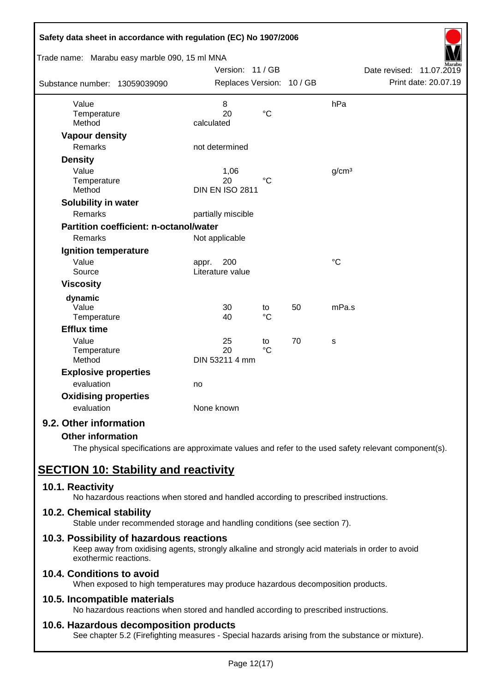| Safety data sheet in accordance with regulation (EC) No 1907/2006 |                           |                 |    |                   |                             |
|-------------------------------------------------------------------|---------------------------|-----------------|----|-------------------|-----------------------------|
| Trade name: Marabu easy marble 090, 15 ml MNA                     |                           |                 |    |                   |                             |
|                                                                   | Version: 11 / GB          |                 |    |                   | Date revised:<br>11.07.2019 |
| Substance number: 13059039090                                     | Replaces Version: 10 / GB |                 |    |                   | Print date: 20.07.19        |
| Value                                                             | 8                         |                 |    | hPa               |                             |
| Temperature                                                       | 20                        | $\rm ^{\circ}C$ |    |                   |                             |
| Method                                                            | calculated                |                 |    |                   |                             |
| <b>Vapour density</b>                                             |                           |                 |    |                   |                             |
| <b>Remarks</b>                                                    | not determined            |                 |    |                   |                             |
| <b>Density</b>                                                    |                           |                 |    |                   |                             |
| Value                                                             | 1,06                      |                 |    | g/cm <sup>3</sup> |                             |
| Temperature                                                       | 20                        | $^{\circ}C$     |    |                   |                             |
| Method                                                            | <b>DIN EN ISO 2811</b>    |                 |    |                   |                             |
| Solubility in water                                               |                           |                 |    |                   |                             |
| Remarks                                                           | partially miscible        |                 |    |                   |                             |
| <b>Partition coefficient: n-octanol/water</b>                     |                           |                 |    |                   |                             |
| Remarks                                                           | Not applicable            |                 |    |                   |                             |
| Ignition temperature                                              |                           |                 |    |                   |                             |
| Value                                                             | 200<br>appr.              |                 |    | $\rm ^{\circ}C$   |                             |
| Source                                                            | Literature value          |                 |    |                   |                             |
| <b>Viscosity</b>                                                  |                           |                 |    |                   |                             |
| dynamic                                                           |                           |                 |    |                   |                             |
| Value                                                             | 30                        | to              | 50 | mPa.s             |                             |
| Temperature                                                       | 40                        | $\rm ^{\circ}C$ |    |                   |                             |
| <b>Efflux time</b>                                                |                           |                 |    |                   |                             |
| Value                                                             | 25                        | to              | 70 | S                 |                             |
| Temperature                                                       | 20                        | $\rm ^{\circ}C$ |    |                   |                             |
| Method                                                            | DIN 53211 4 mm            |                 |    |                   |                             |
| <b>Explosive properties</b>                                       |                           |                 |    |                   |                             |
| evaluation                                                        | no                        |                 |    |                   |                             |
| <b>Oxidising properties</b>                                       |                           |                 |    |                   |                             |
| evaluation                                                        | None known                |                 |    |                   |                             |
| 9.2. Other information                                            |                           |                 |    |                   |                             |

## **Other information**

The physical specifications are approximate values and refer to the used safety relevant component(s).

# **SECTION 10: Stability and reactivity**

### **10.1. Reactivity**

No hazardous reactions when stored and handled according to prescribed instructions.

### **10.2. Chemical stability**

Stable under recommended storage and handling conditions (see section 7).

### **10.3. Possibility of hazardous reactions**

Keep away from oxidising agents, strongly alkaline and strongly acid materials in order to avoid exothermic reactions.

## **10.4. Conditions to avoid**

When exposed to high temperatures may produce hazardous decomposition products.

### **10.5. Incompatible materials**

No hazardous reactions when stored and handled according to prescribed instructions.

### **10.6. Hazardous decomposition products**

See chapter 5.2 (Firefighting measures - Special hazards arising from the substance or mixture).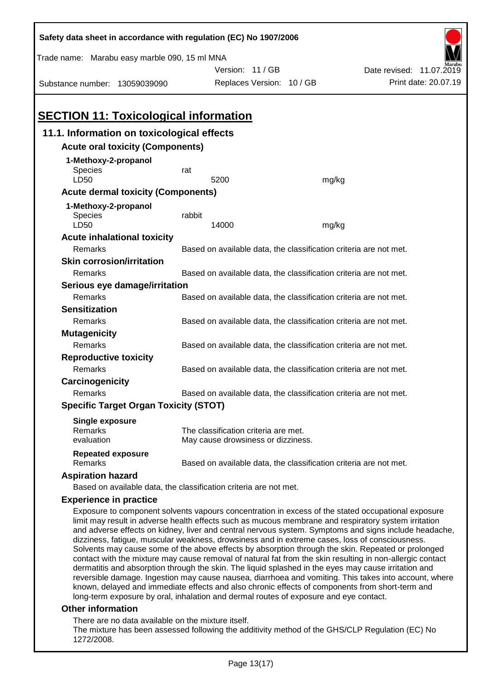| Trade name: Marabu easy marble 090, 15 ml MNA<br>Version: 11 / GB<br>Date revised: 11.07.2019<br>Print date: 20.07.19<br>Replaces Version: 10 / GB<br>Substance number: 13059039090<br><b>SECTION 11: Toxicological information</b><br>11.1. Information on toxicological effects<br><b>Acute oral toxicity (Components)</b><br>1-Methoxy-2-propanol<br>Species<br>rat<br>LD50<br>5200<br>mg/kg<br><b>Acute dermal toxicity (Components)</b><br>1-Methoxy-2-propanol<br>rabbit<br>Species<br>LD50<br>14000<br>mg/kg<br><b>Acute inhalational toxicity</b>                                                                                                                                                                                        |  |
|--------------------------------------------------------------------------------------------------------------------------------------------------------------------------------------------------------------------------------------------------------------------------------------------------------------------------------------------------------------------------------------------------------------------------------------------------------------------------------------------------------------------------------------------------------------------------------------------------------------------------------------------------------------------------------------------------------------------------------------------------|--|
|                                                                                                                                                                                                                                                                                                                                                                                                                                                                                                                                                                                                                                                                                                                                                  |  |
|                                                                                                                                                                                                                                                                                                                                                                                                                                                                                                                                                                                                                                                                                                                                                  |  |
|                                                                                                                                                                                                                                                                                                                                                                                                                                                                                                                                                                                                                                                                                                                                                  |  |
|                                                                                                                                                                                                                                                                                                                                                                                                                                                                                                                                                                                                                                                                                                                                                  |  |
|                                                                                                                                                                                                                                                                                                                                                                                                                                                                                                                                                                                                                                                                                                                                                  |  |
|                                                                                                                                                                                                                                                                                                                                                                                                                                                                                                                                                                                                                                                                                                                                                  |  |
|                                                                                                                                                                                                                                                                                                                                                                                                                                                                                                                                                                                                                                                                                                                                                  |  |
|                                                                                                                                                                                                                                                                                                                                                                                                                                                                                                                                                                                                                                                                                                                                                  |  |
|                                                                                                                                                                                                                                                                                                                                                                                                                                                                                                                                                                                                                                                                                                                                                  |  |
|                                                                                                                                                                                                                                                                                                                                                                                                                                                                                                                                                                                                                                                                                                                                                  |  |
|                                                                                                                                                                                                                                                                                                                                                                                                                                                                                                                                                                                                                                                                                                                                                  |  |
|                                                                                                                                                                                                                                                                                                                                                                                                                                                                                                                                                                                                                                                                                                                                                  |  |
|                                                                                                                                                                                                                                                                                                                                                                                                                                                                                                                                                                                                                                                                                                                                                  |  |
|                                                                                                                                                                                                                                                                                                                                                                                                                                                                                                                                                                                                                                                                                                                                                  |  |
|                                                                                                                                                                                                                                                                                                                                                                                                                                                                                                                                                                                                                                                                                                                                                  |  |
| Remarks<br>Based on available data, the classification criteria are not met.                                                                                                                                                                                                                                                                                                                                                                                                                                                                                                                                                                                                                                                                     |  |
| <b>Skin corrosion/irritation</b>                                                                                                                                                                                                                                                                                                                                                                                                                                                                                                                                                                                                                                                                                                                 |  |
| Remarks<br>Based on available data, the classification criteria are not met.                                                                                                                                                                                                                                                                                                                                                                                                                                                                                                                                                                                                                                                                     |  |
| Serious eye damage/irritation                                                                                                                                                                                                                                                                                                                                                                                                                                                                                                                                                                                                                                                                                                                    |  |
| Remarks<br>Based on available data, the classification criteria are not met.                                                                                                                                                                                                                                                                                                                                                                                                                                                                                                                                                                                                                                                                     |  |
| <b>Sensitization</b>                                                                                                                                                                                                                                                                                                                                                                                                                                                                                                                                                                                                                                                                                                                             |  |
| Remarks<br>Based on available data, the classification criteria are not met.                                                                                                                                                                                                                                                                                                                                                                                                                                                                                                                                                                                                                                                                     |  |
| <b>Mutagenicity</b>                                                                                                                                                                                                                                                                                                                                                                                                                                                                                                                                                                                                                                                                                                                              |  |
| Remarks<br>Based on available data, the classification criteria are not met.                                                                                                                                                                                                                                                                                                                                                                                                                                                                                                                                                                                                                                                                     |  |
| <b>Reproductive toxicity</b>                                                                                                                                                                                                                                                                                                                                                                                                                                                                                                                                                                                                                                                                                                                     |  |
| Remarks<br>Based on available data, the classification criteria are not met.                                                                                                                                                                                                                                                                                                                                                                                                                                                                                                                                                                                                                                                                     |  |
| Carcinogenicity                                                                                                                                                                                                                                                                                                                                                                                                                                                                                                                                                                                                                                                                                                                                  |  |
| Based on available data, the classification criteria are not met.<br>Remarks                                                                                                                                                                                                                                                                                                                                                                                                                                                                                                                                                                                                                                                                     |  |
| <b>Specific Target Organ Toxicity (STOT)</b>                                                                                                                                                                                                                                                                                                                                                                                                                                                                                                                                                                                                                                                                                                     |  |
| <b>Single exposure</b>                                                                                                                                                                                                                                                                                                                                                                                                                                                                                                                                                                                                                                                                                                                           |  |
| <b>Remarks</b><br>The classification criteria are met.                                                                                                                                                                                                                                                                                                                                                                                                                                                                                                                                                                                                                                                                                           |  |
| evaluation<br>May cause drowsiness or dizziness.                                                                                                                                                                                                                                                                                                                                                                                                                                                                                                                                                                                                                                                                                                 |  |
| <b>Repeated exposure</b><br>Remarks<br>Based on available data, the classification criteria are not met.                                                                                                                                                                                                                                                                                                                                                                                                                                                                                                                                                                                                                                         |  |
| <b>Aspiration hazard</b>                                                                                                                                                                                                                                                                                                                                                                                                                                                                                                                                                                                                                                                                                                                         |  |
| Based on available data, the classification criteria are not met.                                                                                                                                                                                                                                                                                                                                                                                                                                                                                                                                                                                                                                                                                |  |
| <b>Experience in practice</b>                                                                                                                                                                                                                                                                                                                                                                                                                                                                                                                                                                                                                                                                                                                    |  |
| Exposure to component solvents vapours concentration in excess of the stated occupational exposure<br>limit may result in adverse health effects such as mucous membrane and respiratory system irritation<br>and adverse effects on kidney, liver and central nervous system. Symptoms and signs include headache,<br>dizziness, fatigue, muscular weakness, drowsiness and in extreme cases, loss of consciousness.<br>Solvents may cause some of the above effects by absorption through the skin. Repeated or prolonged<br>contact with the mixture may cause removal of natural fat from the skin resulting in non-allergic contact<br>dermatitis and absorption through the skin. The liquid splashed in the eyes may cause irritation and |  |

reversible damage. Ingestion may cause nausea, diarrhoea and vomiting. This takes into account, where known, delayed and immediate effects and also chronic effects of components from short-term and long-term exposure by oral, inhalation and dermal routes of exposure and eye contact.

### **Other information**

There are no data available on the mixture itself.

The mixture has been assessed following the additivity method of the GHS/CLP Regulation (EC) No 1272/2008.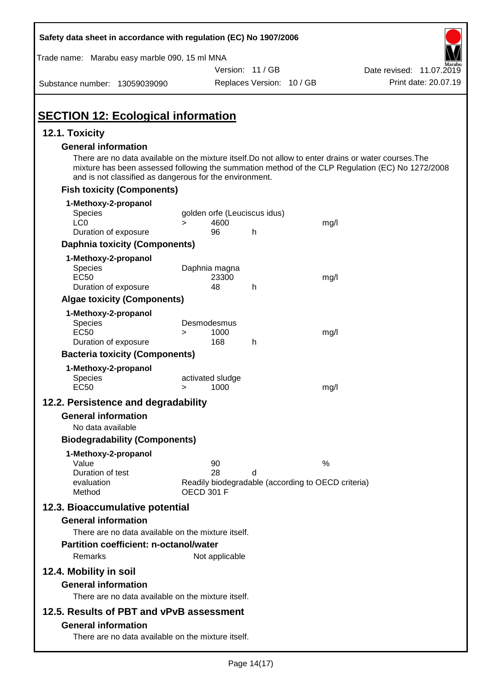| Safety data sheet in accordance with regulation (EC) No 1907/2006                                                                                                                              |                                      |                           |                                                         |                                                                                                  |
|------------------------------------------------------------------------------------------------------------------------------------------------------------------------------------------------|--------------------------------------|---------------------------|---------------------------------------------------------|--------------------------------------------------------------------------------------------------|
| Trade name: Marabu easy marble 090, 15 ml MNA                                                                                                                                                  |                                      |                           |                                                         |                                                                                                  |
|                                                                                                                                                                                                |                                      | Version: 11 / GB          |                                                         | Date revised: 11.07.2019                                                                         |
| Substance number: 13059039090                                                                                                                                                                  |                                      | Replaces Version: 10 / GB |                                                         | Print date: 20.07.19                                                                             |
| <b>SECTION 12: Ecological information</b>                                                                                                                                                      |                                      |                           |                                                         |                                                                                                  |
| 12.1. Toxicity                                                                                                                                                                                 |                                      |                           |                                                         |                                                                                                  |
| <b>General information</b><br>There are no data available on the mixture itself. Do not allow to enter drains or water courses. The<br>and is not classified as dangerous for the environment. |                                      |                           |                                                         | mixture has been assessed following the summation method of the CLP Regulation (EC) No 1272/2008 |
| <b>Fish toxicity (Components)</b>                                                                                                                                                              |                                      |                           |                                                         |                                                                                                  |
| 1-Methoxy-2-propanol<br><b>Species</b>                                                                                                                                                         | golden orfe (Leuciscus idus)         |                           |                                                         |                                                                                                  |
| LC <sub>0</sub><br>Duration of exposure                                                                                                                                                        | 4600<br>$\geq$<br>96                 | h                         | mg/l                                                    |                                                                                                  |
| <b>Daphnia toxicity (Components)</b>                                                                                                                                                           |                                      |                           |                                                         |                                                                                                  |
| 1-Methoxy-2-propanol                                                                                                                                                                           |                                      |                           |                                                         |                                                                                                  |
| <b>Species</b><br><b>EC50</b><br>Duration of exposure                                                                                                                                          | Daphnia magna<br>23300<br>48         | h                         | mg/l                                                    |                                                                                                  |
| <b>Algae toxicity (Components)</b>                                                                                                                                                             |                                      |                           |                                                         |                                                                                                  |
| 1-Methoxy-2-propanol<br><b>Species</b><br><b>EC50</b><br>Duration of exposure                                                                                                                  | Desmodesmus<br>1000<br>$\geq$<br>168 | h                         | mg/l                                                    |                                                                                                  |
| <b>Bacteria toxicity (Components)</b>                                                                                                                                                          |                                      |                           |                                                         |                                                                                                  |
| 1-Methoxy-2-propanol<br>Species<br><b>EC50</b>                                                                                                                                                 | activated sludge<br>1000<br>>        |                           | mg/l                                                    |                                                                                                  |
| 12.2. Persistence and degradability                                                                                                                                                            |                                      |                           |                                                         |                                                                                                  |
| <b>General information</b><br>No data available                                                                                                                                                |                                      |                           |                                                         |                                                                                                  |
| <b>Biodegradability (Components)</b>                                                                                                                                                           |                                      |                           |                                                         |                                                                                                  |
| 1-Methoxy-2-propanol<br>Value<br>Duration of test<br>evaluation<br>Method                                                                                                                      | 90<br>28<br><b>OECD 301 F</b>        | d                         | %<br>Readily biodegradable (according to OECD criteria) |                                                                                                  |
| 12.3. Bioaccumulative potential                                                                                                                                                                |                                      |                           |                                                         |                                                                                                  |
| <b>General information</b><br>There are no data available on the mixture itself.                                                                                                               |                                      |                           |                                                         |                                                                                                  |
| <b>Partition coefficient: n-octanol/water</b><br>Remarks                                                                                                                                       | Not applicable                       |                           |                                                         |                                                                                                  |
| 12.4. Mobility in soil                                                                                                                                                                         |                                      |                           |                                                         |                                                                                                  |
| <b>General information</b><br>There are no data available on the mixture itself.                                                                                                               |                                      |                           |                                                         |                                                                                                  |
| 12.5. Results of PBT and vPvB assessment<br><b>General information</b><br>There are no data available on the mixture itself.                                                                   |                                      |                           |                                                         |                                                                                                  |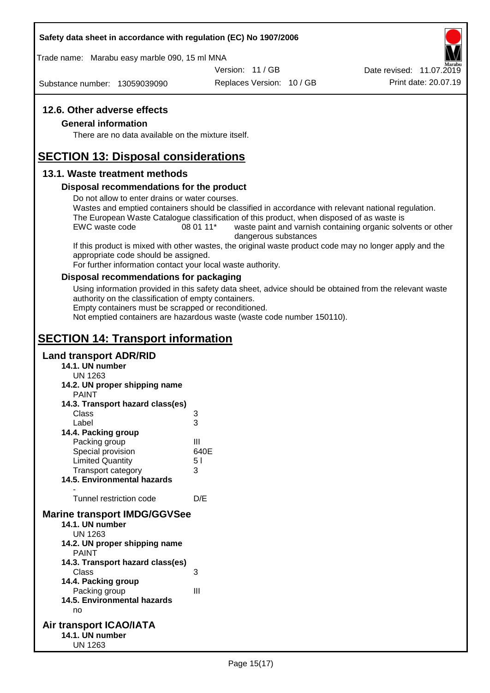### **Safety data sheet in accordance with regulation (EC) No 1907/2006**

Trade name: Marabu easy marble 090, 15 ml MNA

Version: 11 / GB

Substance number: 13059039090

Replaces Version: 10 / GB Print date: 20.07.19 Date revised: 11.07.2019

### **12.6. Other adverse effects**

### **General information**

There are no data available on the mixture itself.

## **SECTION 13: Disposal considerations**

### **13.1. Waste treatment methods**

### **Disposal recommendations for the product**

Do not allow to enter drains or water courses.

Wastes and emptied containers should be classified in accordance with relevant national regulation. The European Waste Catalogue classification of this product, when disposed of as waste is

EWC waste code 08 01 11<sup>\*</sup> waste paint and varnish containing organic solvents or other dangerous substances

If this product is mixed with other wastes, the original waste product code may no longer apply and the appropriate code should be assigned.

For further information contact your local waste authority.

### **Disposal recommendations for packaging**

Using information provided in this safety data sheet, advice should be obtained from the relevant waste authority on the classification of empty containers.

Empty containers must be scrapped or reconditioned.

Not emptied containers are hazardous waste (waste code number 150110).

# **SECTION 14: Transport information**

### **Land transport ADR/RID**

**14.1. UN number** UN 1263 **14.2. UN proper shipping name** PAINT **14.3. Transport hazard class(es)** Class 3 Label 3 **14.4. Packing group** Packing group III Special provision 640E Limited Quantity 5 l Transport category 3 **14.5. Environmental hazards** - Tunnel restriction code D/E **Marine transport IMDG/GGVSee 14.1. UN number** UN 1263 **14.2. UN proper shipping name** PAINT **14.3. Transport hazard class(es)** Class 3 **14.4. Packing group** Packing group III **14.5. Environmental hazards** no **Air transport ICAO/IATA 14.1. UN number** UN 1263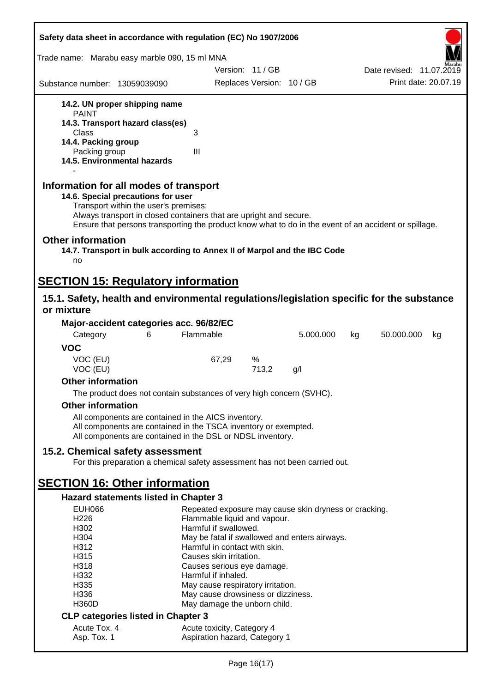| Safety data sheet in accordance with regulation (EC) No 1907/2006                                                                                                                                                                                                                                    |                                                                         |                           |           |    |                          |    |
|------------------------------------------------------------------------------------------------------------------------------------------------------------------------------------------------------------------------------------------------------------------------------------------------------|-------------------------------------------------------------------------|---------------------------|-----------|----|--------------------------|----|
| Trade name: Marabu easy marble 090, 15 ml MNA                                                                                                                                                                                                                                                        |                                                                         |                           |           |    |                          |    |
|                                                                                                                                                                                                                                                                                                      |                                                                         | Version: 11/GB            |           |    | Date revised: 11.07.2019 |    |
| Substance number: 13059039090                                                                                                                                                                                                                                                                        |                                                                         | Replaces Version: 10 / GB |           |    | Print date: 20.07.19     |    |
| 14.2. UN proper shipping name                                                                                                                                                                                                                                                                        |                                                                         |                           |           |    |                          |    |
| <b>PAINT</b>                                                                                                                                                                                                                                                                                         |                                                                         |                           |           |    |                          |    |
| 14.3. Transport hazard class(es)<br>Class                                                                                                                                                                                                                                                            | 3                                                                       |                           |           |    |                          |    |
| 14.4. Packing group                                                                                                                                                                                                                                                                                  |                                                                         |                           |           |    |                          |    |
| Packing group                                                                                                                                                                                                                                                                                        | $\mathbf{III}$                                                          |                           |           |    |                          |    |
| 14.5. Environmental hazards                                                                                                                                                                                                                                                                          |                                                                         |                           |           |    |                          |    |
| Information for all modes of transport<br>14.6. Special precautions for user<br>Transport within the user's premises:<br>Always transport in closed containers that are upright and secure.<br>Ensure that persons transporting the product know what to do in the event of an accident or spillage. |                                                                         |                           |           |    |                          |    |
| <b>Other information</b><br>14.7. Transport in bulk according to Annex II of Marpol and the IBC Code<br>no                                                                                                                                                                                           |                                                                         |                           |           |    |                          |    |
| <b>SECTION 15: Regulatory information</b>                                                                                                                                                                                                                                                            |                                                                         |                           |           |    |                          |    |
| 15.1. Safety, health and environmental regulations/legislation specific for the substance                                                                                                                                                                                                            |                                                                         |                           |           |    |                          |    |
| or mixture                                                                                                                                                                                                                                                                                           |                                                                         |                           |           |    |                          |    |
| Major-accident categories acc. 96/82/EC                                                                                                                                                                                                                                                              |                                                                         |                           |           |    |                          |    |
| Category<br>6                                                                                                                                                                                                                                                                                        | Flammable                                                               |                           | 5.000.000 | kg | 50.000.000               | kg |
| <b>VOC</b>                                                                                                                                                                                                                                                                                           |                                                                         |                           |           |    |                          |    |
| VOC (EU)                                                                                                                                                                                                                                                                                             | 67,29                                                                   | %                         |           |    |                          |    |
| VOC (EU)                                                                                                                                                                                                                                                                                             |                                                                         | 713,2                     | g/l       |    |                          |    |
| <b>Other information</b>                                                                                                                                                                                                                                                                             |                                                                         |                           |           |    |                          |    |
| The product does not contain substances of very high concern (SVHC).                                                                                                                                                                                                                                 |                                                                         |                           |           |    |                          |    |
| <b>Other information</b>                                                                                                                                                                                                                                                                             |                                                                         |                           |           |    |                          |    |
| All components are contained in the AICS inventory.<br>All components are contained in the TSCA inventory or exempted.<br>All components are contained in the DSL or NDSL inventory.                                                                                                                 |                                                                         |                           |           |    |                          |    |
| 15.2. Chemical safety assessment                                                                                                                                                                                                                                                                     |                                                                         |                           |           |    |                          |    |
| For this preparation a chemical safety assessment has not been carried out.                                                                                                                                                                                                                          |                                                                         |                           |           |    |                          |    |
| <b>SECTION 16: Other information</b>                                                                                                                                                                                                                                                                 |                                                                         |                           |           |    |                          |    |
| <b>Hazard statements listed in Chapter 3</b>                                                                                                                                                                                                                                                         |                                                                         |                           |           |    |                          |    |
| <b>EUH066</b>                                                                                                                                                                                                                                                                                        | Repeated exposure may cause skin dryness or cracking.                   |                           |           |    |                          |    |
| H226                                                                                                                                                                                                                                                                                                 | Flammable liquid and vapour.                                            |                           |           |    |                          |    |
| H302<br>H304                                                                                                                                                                                                                                                                                         | Harmful if swallowed.<br>May be fatal if swallowed and enters airways.  |                           |           |    |                          |    |
| H312                                                                                                                                                                                                                                                                                                 | Harmful in contact with skin.                                           |                           |           |    |                          |    |
| H315                                                                                                                                                                                                                                                                                                 | Causes skin irritation.                                                 |                           |           |    |                          |    |
| H318                                                                                                                                                                                                                                                                                                 | Causes serious eye damage.                                              |                           |           |    |                          |    |
| H332                                                                                                                                                                                                                                                                                                 | Harmful if inhaled.                                                     |                           |           |    |                          |    |
| H335<br>H336                                                                                                                                                                                                                                                                                         | May cause respiratory irritation.<br>May cause drowsiness or dizziness. |                           |           |    |                          |    |
| <b>H360D</b>                                                                                                                                                                                                                                                                                         | May damage the unborn child.                                            |                           |           |    |                          |    |
| <b>CLP categories listed in Chapter 3</b>                                                                                                                                                                                                                                                            |                                                                         |                           |           |    |                          |    |
| Acute Tox. 4                                                                                                                                                                                                                                                                                         | Acute toxicity, Category 4                                              |                           |           |    |                          |    |
| Asp. Tox. 1                                                                                                                                                                                                                                                                                          | Aspiration hazard, Category 1                                           |                           |           |    |                          |    |